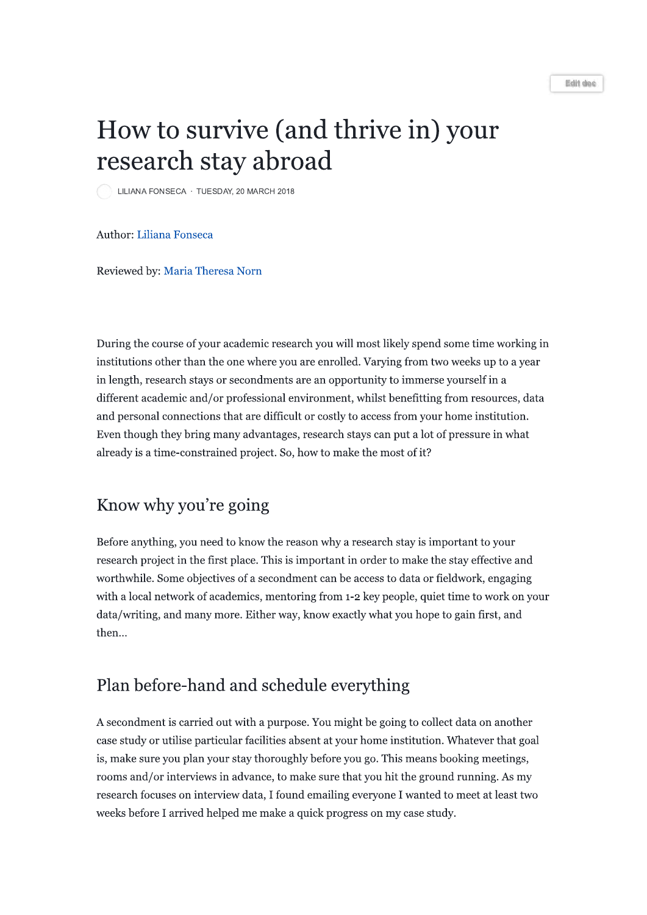#### Edit doc

# How to survive (and thrive in) your research stay abroad

LILIANA FONSECA · TUESDAY, 20 MARCH 2018

**Author: Liliana Fonseca** 

Reviewed by: Maria Theresa Norn

During the course of your academic research you will most likely spend some time working in institutions other than the one where you are enrolled. Varying from two weeks up to a year in length, research stays or secondments are an opportunity to immerse yourself in a different academic and/or professional environment, whilst benefitting from resources, data and personal connections that are difficult or costly to access from your home institution. Even though they bring many advantages, research stays can put a lot of pressure in what already is a time-constrained project. So, how to make the most of it?

#### Know why you're going

Before anything, you need to know the reason why a research stay is important to your research project in the first place. This is important in order to make the stay effective and worthwhile. Some objectives of a secondment can be access to data or fieldwork, engaging with a local network of academics, mentoring from 1-2 key people, quiet time to work on your data/writing, and many more. Either way, know exactly what you hope to gain first, and then...

#### Plan before-hand and schedule everything

A secondment is carried out with a purpose. You might be going to collect data on another case study or utilise particular facilities absent at your home institution. Whatever that goal is, make sure you plan your stay thoroughly before you go. This means booking meetings, rooms and/or interviews in advance, to make sure that you hit the ground running. As my research focuses on interview data, I found emailing everyone I wanted to meet at least two weeks before I arrived helped me make a quick progress on my case study.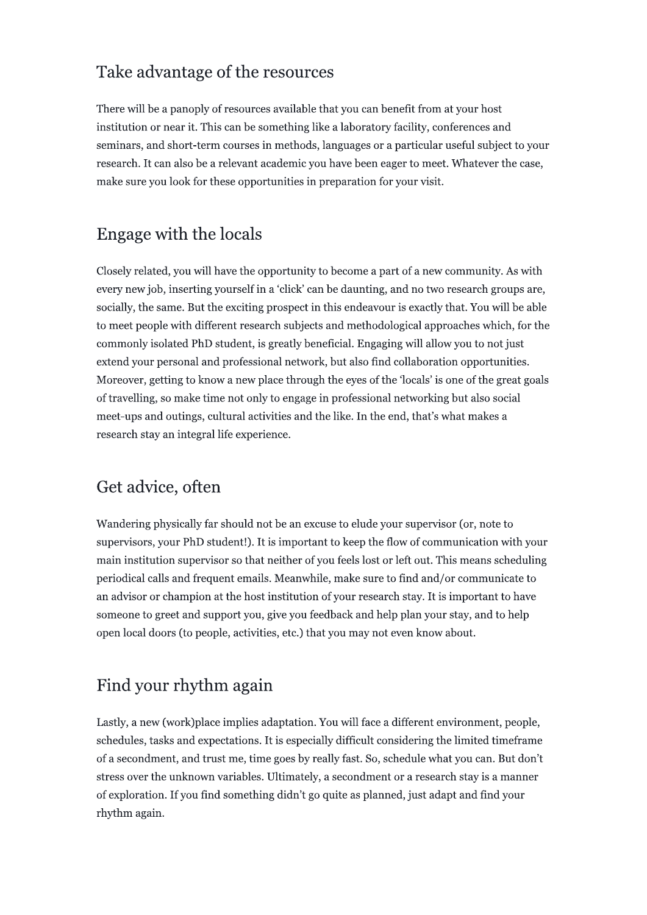### Take advantage of the resources

There will be a panoply of resources available that you can benefit from at your host institution or near it. This can be something like a laboratory facility, conferences and seminars, and short-term courses in methods, languages or a particular useful subject to your research. It can also be a relevant academic you have been eager to meet. Whatever the case, make sure you look for these opportunities in preparation for your visit.

### Engage with the locals

Closely related, you will have the opportunity to become a part of a new community. As with every new job, inserting yourself in a 'click' can be daunting, and no two research groups are, socially, the same. But the exciting prospect in this endeavour is exactly that. You will be able to meet people with different research subjects and methodological approaches which, for the commonly isolated PhD student, is greatly beneficial. Engaging will allow you to not just extend your personal and professional network, but also find collaboration opportunities. Moreover, getting to know a new place through the eyes of the 'locals' is one of the great goals of travelling, so make time not only to engage in professional networking but also social meet-ups and outings, cultural activities and the like. In the end, that's what makes a research stay an integral life experience.

# Get advice, often

Wandering physically far should not be an excuse to elude your supervisor (or, note to supervisors, your PhD student!). It is important to keep the flow of communication with your main institution supervisor so that neither of you feels lost or left out. This means scheduling periodical calls and frequent emails. Meanwhile, make sure to find and/or communicate to an advisor or champion at the host institution of your research stay. It is important to have someone to greet and support you, give you feedback and help plan your stay, and to help open local doors (to people, activities, etc.) that you may not even know about.

# Find your rhythm again

Lastly, a new (work)place implies adaptation. You will face a different environment, people, schedules, tasks and expectations. It is especially difficult considering the limited timeframe of a secondment, and trust me, time goes by really fast. So, schedule what you can. But don't stress over the unknown variables. Ultimately, a secondment or a research stay is a manner of exploration. If you find something didn't go quite as planned, just adapt and find your rhythm again.